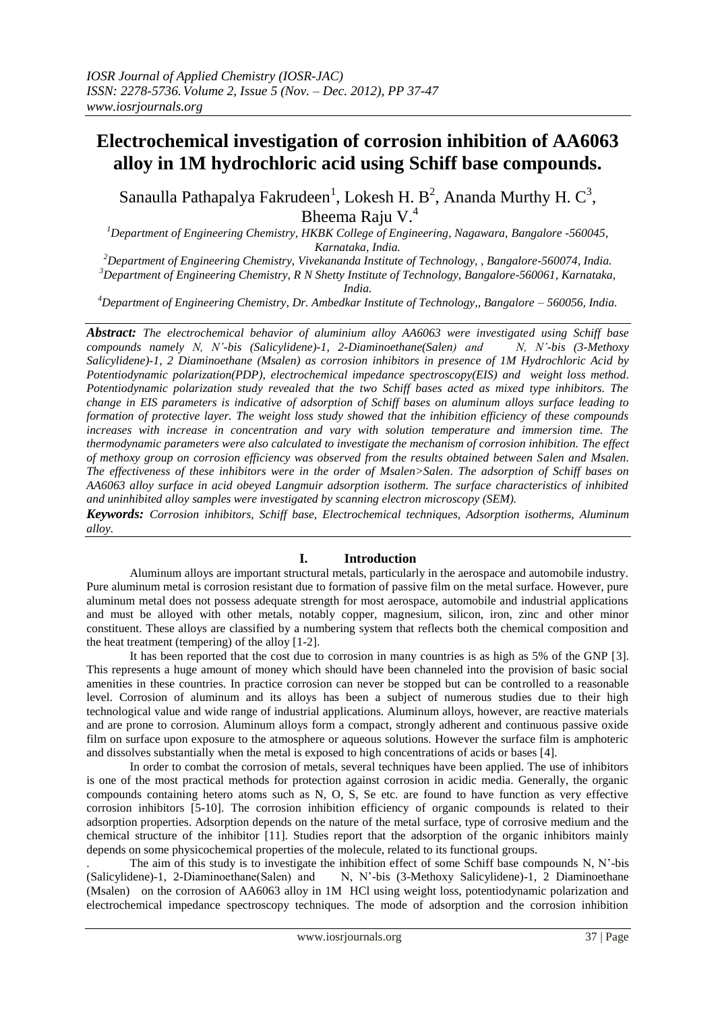# **Electrochemical investigation of corrosion inhibition of AA6063 alloy in 1M hydrochloric acid using Schiff base compounds.**

Sanaulla Pathapalya Fakrudeen<sup>1</sup>, Lokesh H. B<sup>2</sup>, Ananda Murthy H. C<sup>3</sup>, Bheema Raju V.<sup>4</sup>

*<sup>1</sup>Department of Engineering Chemistry, HKBK College of Engineering, Nagawara, Bangalore -560045, Karnataka, India.*

*<sup>2</sup>Department of Engineering Chemistry, Vivekananda Institute of Technology, , Bangalore-560074, India. <sup>3</sup>Department of Engineering Chemistry, R N Shetty Institute of Technology, Bangalore-560061, Karnataka,* 

*India.*

*<sup>4</sup>Department of Engineering Chemistry, Dr. Ambedkar Institute of Technology,, Bangalore – 560056, India.*

*Abstract: The electrochemical behavior of aluminium alloy AA6063 were investigated using Schiff base compounds namely N, N'-bis (Salicylidene)-1, 2-Diaminoethane(Salen) and N, N'-bis (3-Methoxy Salicylidene)-1, 2 Diaminoethane (Msalen) as corrosion inhibitors in presence of 1M Hydrochloric Acid by Potentiodynamic polarization(PDP), electrochemical impedance spectroscopy(EIS) and weight loss method. Potentiodynamic polarization study revealed that the two Schiff bases acted as mixed type inhibitors. The change in EIS parameters is indicative of adsorption of Schiff bases on aluminum alloys surface leading to formation of protective layer. The weight loss study showed that the inhibition efficiency of these compounds increases with increase in concentration and vary with solution temperature and immersion time. The thermodynamic parameters were also calculated to investigate the mechanism of corrosion inhibition. The effect of methoxy group on corrosion efficiency was observed from the results obtained between Salen and Msalen. The effectiveness of these inhibitors were in the order of Msalen>Salen. The adsorption of Schiff bases on AA6063 alloy surface in acid obeyed Langmuir adsorption isotherm. The surface characteristics of inhibited and uninhibited alloy samples were investigated by scanning electron microscopy (SEM).*

*Keywords: Corrosion inhibitors, Schiff base, Electrochemical techniques, Adsorption isotherms, Aluminum alloy.*

# **I. Introduction**

Aluminum alloys are important structural metals, particularly in the aerospace and automobile industry. Pure aluminum metal is corrosion resistant due to formation of passive film on the metal surface. However, pure aluminum metal does not possess adequate strength for most aerospace, automobile and industrial applications and must be alloyed with other metals, notably copper, magnesium, silicon, iron, zinc and other minor constituent. These alloys are classified by a numbering system that reflects both the chemical composition and the heat treatment (tempering) of the alloy [1-2].

It has been reported that the cost due to corrosion in many countries is as high as 5% of the GNP [3]. This represents a huge amount of money which should have been channeled into the provision of basic social amenities in these countries. In practice corrosion can never be stopped but can be controlled to a reasonable level. Corrosion of aluminum and its alloys has been a subject of numerous studies due to their high technological value and wide range of industrial applications. Aluminum alloys, however, are reactive materials and are prone to corrosion. Aluminum alloys form a compact, strongly adherent and continuous passive oxide film on surface upon exposure to the atmosphere or aqueous solutions. However the surface film is amphoteric and dissolves substantially when the metal is exposed to high concentrations of acids or bases [4].

In order to combat the corrosion of metals, several techniques have been applied. The use of inhibitors is one of the most practical methods for protection against corrosion in acidic media. Generally, the organic compounds containing hetero atoms such as N, O, S, Se etc. are found to have function as very effective corrosion inhibitors [5-10]. The corrosion inhibition efficiency of organic compounds is related to their adsorption properties. Adsorption depends on the nature of the metal surface, type of corrosive medium and the chemical structure of the inhibitor [11]. Studies report that the adsorption of the organic inhibitors mainly depends on some physicochemical properties of the molecule, related to its functional groups.

The aim of this study is to investigate the inhibition effect of some Schiff base compounds N, N'-bis (Salicylidene)-1, 2-Diaminoethane Schiff base compounds N, N'-bis (3-Methoxy Salicylidene)-1, 2-Diaminoethane N, N'-bis (3-Methoxy Salicylidene) -1, 2 Diaminoethane (Msalen) on the corrosion of AA6063 alloy in 1M HCl using weight loss, potentiodynamic polarization and electrochemical impedance spectroscopy techniques. The mode of adsorption and the corrosion inhibition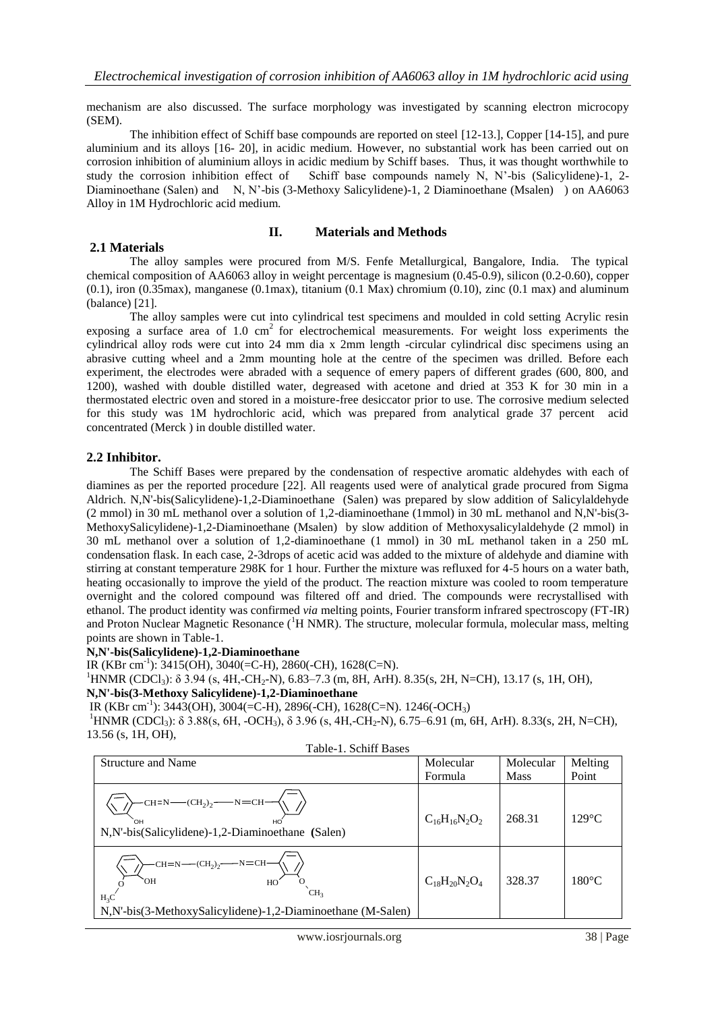mechanism are also discussed. The surface morphology was investigated by scanning electron microcopy (SEM).

The inhibition effect of Schiff base compounds are reported on steel [12-13.], Copper [14-15], and pure aluminium and its alloys [16- 20], in acidic medium. However, no substantial work has been carried out on corrosion inhibition of aluminium alloys in acidic medium by Schiff bases. Thus, it was thought worthwhile to study the corrosion inhibition effect of Schiff base compounds namely N, N'-bis (Salicylidene)-1, 2- Diaminoethane (Salen) and N, N'-bis (3-Methoxy Salicylidene)-1, 2 Diaminoethane (Msalen) ) on AA6063 Alloy in 1M Hydrochloric acid medium.

# **II. Materials and Methods**

#### **2.1 Materials**

The alloy samples were procured from M/S. Fenfe Metallurgical, Bangalore, India. The typical chemical composition of AA6063 alloy in weight percentage is magnesium (0.45-0.9), silicon (0.2-0.60), copper  $(0.1)$ , iron  $(0.35 \text{max})$ , manganese  $(0.1 \text{max})$ , titanium  $(0.1 \text{ Max})$  chromium  $(0.10)$ , zinc  $(0.1 \text{ max})$  and aluminum (balance) [21].

The alloy samples were cut into cylindrical test specimens and moulded in cold setting Acrylic resin exposing a surface area of 1.0 cm<sup>2</sup> for electrochemical measurements. For weight loss experiments the cylindrical alloy rods were cut into 24 mm dia x 2mm length -circular cylindrical disc specimens using an abrasive cutting wheel and a 2mm mounting hole at the centre of the specimen was drilled. Before each experiment, the electrodes were abraded with a sequence of emery papers of different grades (600, 800, and 1200), washed with double distilled water, degreased with acetone and dried at 353 K for 30 min in a thermostated electric oven and stored in a moisture-free desiccator prior to use. The corrosive medium selected for this study was 1M hydrochloric acid, which was prepared from analytical grade 37 percent acid concentrated (Merck ) in double distilled water.

#### **2.2 Inhibitor.**

The Schiff Bases were prepared by the condensation of respective aromatic aldehydes with each of diamines as per the reported procedure [22]. All reagents used were of analytical grade procured from Sigma Aldrich. N,N'-bis(Salicylidene)-1,2-Diaminoethane (Salen) was prepared by slow addition of Salicylaldehyde (2 mmol) in 30 mL methanol over a solution of 1,2-diaminoethane (1mmol) in 30 mL methanol and N,N'-bis(3- MethoxySalicylidene)-1,2-Diaminoethane (Msalen) by slow addition of Methoxysalicylaldehyde (2 mmol) in 30 mL methanol over a solution of 1,2-diaminoethane (1 mmol) in 30 mL methanol taken in a 250 mL condensation flask. In each case, 2-3drops of acetic acid was added to the mixture of aldehyde and diamine with stirring at constant temperature 298K for 1 hour. Further the mixture was refluxed for 4-5 hours on a water bath, heating occasionally to improve the yield of the product. The reaction mixture was cooled to room temperature overnight and the colored compound was filtered off and dried. The compounds were recrystallised with ethanol. The product identity was confirmed *via* melting points, Fourier transform infrared spectroscopy (FT-IR) and Proton Nuclear Magnetic Resonance  $({}^{1}H NMR)$ . The structure, molecular formula, molecular mass, melting points are shown in Table-1.

#### **N,N'-bis(Salicylidene)-1,2-Diaminoethane**

IR (KBr cm-1 ): 3415(OH), 3040(=C-H), 2860(-CH), 1628(C=N).

 ${}^{1}$ HNMR (CDCl<sub>3</sub>):  $\delta$  3.94 (s, 4H,-CH<sub>2</sub>-N), 6.83–7.3 (m, 8H, ArH). 8.35(s, 2H, N=CH), 13.17 (s, 1H, OH),

# **N,N'-bis(3-Methoxy Salicylidene)-1,2-Diaminoethane**

IR (KBr cm-1 ): 3443(OH), 3004(=C-H), 2896(-CH), 1628(C=N). 1246(-OCH3)

 $1_HNMR$  (CDCl<sub>3</sub>):  $\delta$  3.88(s, 6H, -OCH<sub>3</sub>),  $\delta$  3.96 (s, 4H, -CH<sub>2</sub>-N), 6.75–6.91 (m, 6H, ArH). 8.33(s, 2H, N=CH), 13.56 (s, 1H, OH), Table-1. Schiff Bases

| Table-T. Schiff Dases                                                                                                                                                                                    |                      |             |                 |
|----------------------------------------------------------------------------------------------------------------------------------------------------------------------------------------------------------|----------------------|-------------|-----------------|
| <b>Structure and Name</b>                                                                                                                                                                                | Molecular            | Molecular   | Melting         |
|                                                                                                                                                                                                          | Formula              | <b>Mass</b> | Point           |
| $-CH=N$ $ CH2$ ) <sub>2</sub> $ N=CH-$<br>ÒН<br>HO<br>N, N'-bis(Salicylidene)-1, 2-Diaminoethane (Salen)                                                                                                 | $C_{16}H_{16}N_2O_2$ | 268.31      | $129^{\circ}$ C |
| $-CH=N$ $\left(\text{CH}_2\right)_2$ $\left(\text{CH}_2\right)_2$ $\left(\text{CH}_2\right)_2$<br>ЮH<br>HO<br>CH <sub>2</sub><br>$H_3C$<br>N, N'-bis(3-MethoxySalicylidene)-1, 2-Diaminoethane (M-Salen) | $C_{18}H_{20}N_2O_4$ | 328.37      | $180^{\circ}$ C |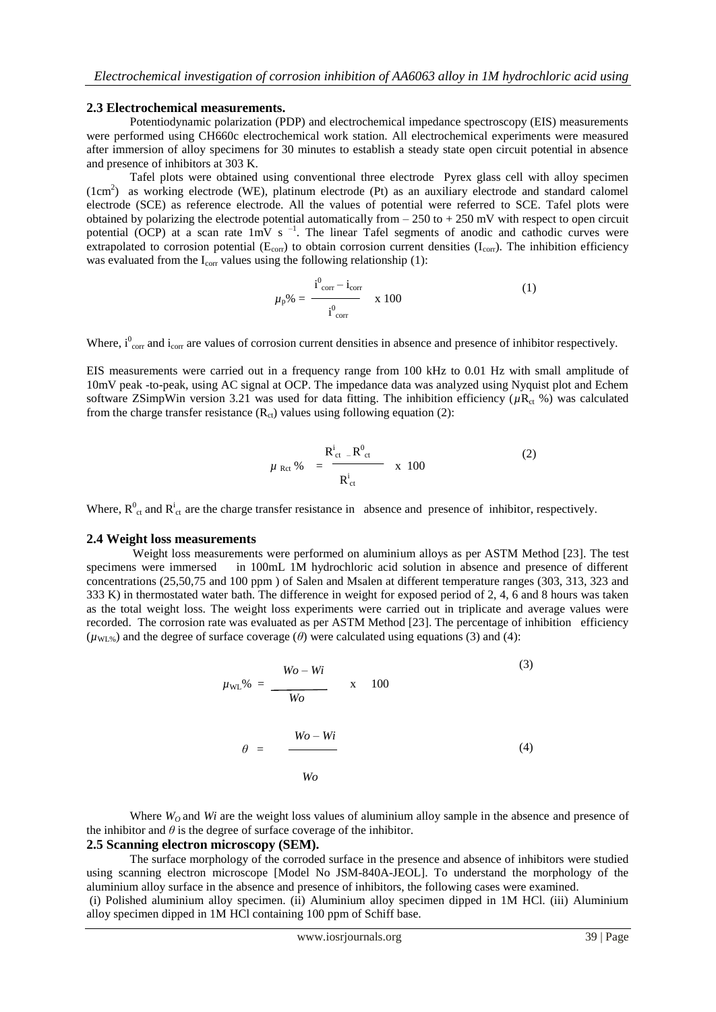#### **2.3 Electrochemical measurements.**

Potentiodynamic polarization (PDP) and electrochemical impedance spectroscopy (EIS) measurements were performed using CH660c electrochemical work station. All electrochemical experiments were measured after immersion of alloy specimens for 30 minutes to establish a steady state open circuit potential in absence and presence of inhibitors at 303 K.

Tafel plots were obtained using conventional three electrode Pyrex glass cell with alloy specimen (1cm<sup>2</sup> ) as working electrode (WE), platinum electrode (Pt) as an auxiliary electrode and standard calomel electrode (SCE) as reference electrode. All the values of potential were referred to SCE. Tafel plots were obtained by polarizing the electrode potential automatically from  $-250$  to  $+250$  mV with respect to open circuit potential (OCP) at a scan rate  $1mV$  s<sup>-1</sup>. The linear Tafel segments of anodic and cathodic curves were extrapolated to corrosion potential ( $E_{\text{corr}}$ ) to obtain corrosion current densities ( $I_{\text{corr}}$ ). The inhibition efficiency was evaluated from the  $I_{\text{corr}}$  values using the following relationship (1):

$$
\mu_{p}\% = \frac{i_{corr}^{0} - i_{corr}}{i_{corr}^{0}} \times 100
$$
 (1)

Where,  $i_{corr}^0$  and  $i_{corr}$  are values of corrosion current densities in absence and presence of inhibitor respectively.

EIS measurements were carried out in a frequency range from 100 kHz to 0.01 Hz with small amplitude of 10mV peak -to-peak, using AC signal at OCP. The impedance data was analyzed using Nyquist plot and Echem software ZSimpWin version 3.21 was used for data fitting. The inhibition efficiency ( $\mu$ R<sub>ct</sub> %) was calculated from the charge transfer resistance  $(R_{ct})$  values using following equation (2):

$$
\mu_{\text{Ret}} \% = \frac{R_{\text{ct}}^i - R_{\text{ct}}^0}{R_{\text{ct}}^i} \quad \text{x} \quad 100 \tag{2}
$$

Where,  $R^0_{\text{ct}}$  and  $R^i_{\text{ct}}$  are the charge transfer resistance in absence and presence of inhibitor, respectively.

#### **2.4 Weight loss measurements**

Weight loss measurements were performed on aluminium alloys as per ASTM Method [23]. The test specimens were immersed in 100mL 1M hydrochloric acid solution in absence and presence of different concentrations (25,50,75 and 100 ppm ) of Salen and Msalen at different temperature ranges (303, 313, 323 and 333 K) in thermostated water bath. The difference in weight for exposed period of 2, 4, 6 and 8 hours was taken as the total weight loss. The weight loss experiments were carried out in triplicate and average values were recorded. The corrosion rate was evaluated as per ASTM Method [23]. The percentage of inhibition efficiency  $(\mu_{WL\%})$  and the degree of surface coverage ( $\theta$ ) were calculated using equations (3) and (4):

$$
\mu_{\text{WL}}\% = \frac{Wo - Wi}{Wo} \qquad \text{x} \qquad 100
$$
\n
$$
\theta = \frac{Wo - Wi}{Wo}
$$
\n(3)\n
$$
\theta = \frac{Wo - Wi}{Wo}
$$
\n(4)

Where  $W_0$  and *Wi* are the weight loss values of aluminium alloy sample in the absence and presence of the inhibitor and  $\theta$  is the degree of surface coverage of the inhibitor.

# **2.5 Scanning electron microscopy (SEM).**

The surface morphology of the corroded surface in the presence and absence of inhibitors were studied using scanning electron microscope [Model No JSM-840A-JEOL]. To understand the morphology of the aluminium alloy surface in the absence and presence of inhibitors, the following cases were examined.

(i) Polished aluminium alloy specimen. (ii) Aluminium alloy specimen dipped in 1M HCl. (iii) Aluminium alloy specimen dipped in 1M HCl containing 100 ppm of Schiff base.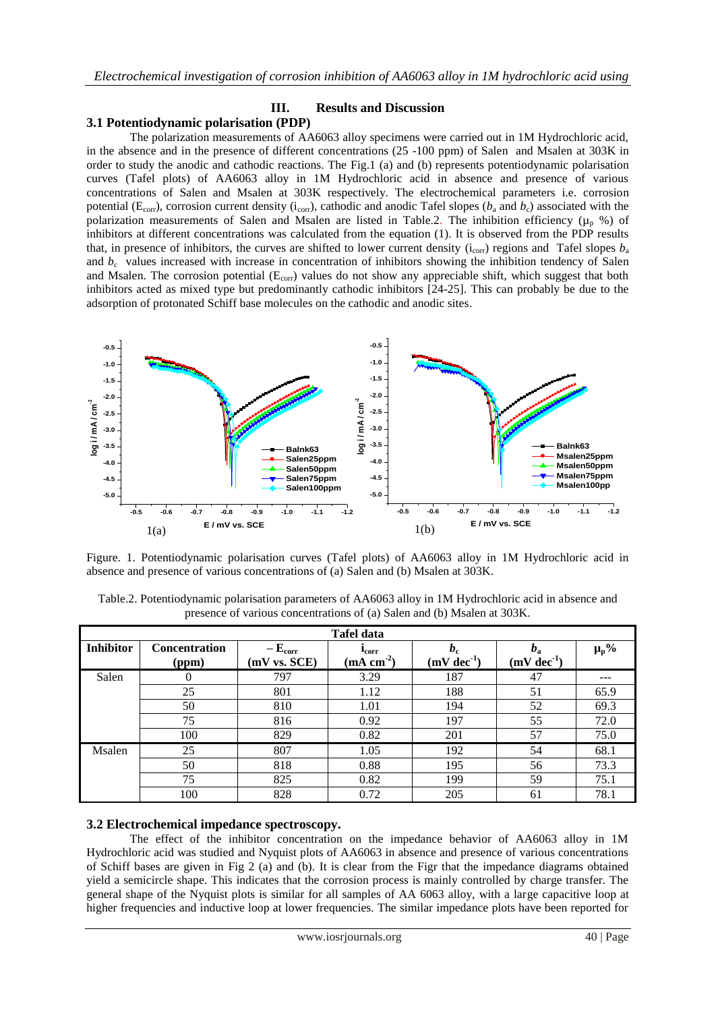#### **III. Results and Discussion 3.1 Potentiodynamic polarisation (PDP)**

The polarization measurements of AA6063 alloy specimens were carried out in 1M Hydrochloric acid, in the absence and in the presence of different concentrations (25 -100 ppm) of Salen and Msalen at 303K in order to study the anodic and cathodic reactions. The Fig.1 (a) and (b) represents potentiodynamic polarisation curves (Tafel plots) of AA6063 alloy in 1M Hydrochloric acid in absence and presence of various concentrations of Salen and Msalen at 303K respectively. The electrochemical parameters i.e. corrosion potential ( $E_{corr}$ ), corrosion current density ( $i_{corr}$ ), cathodic and anodic Tafel slopes ( $b_a$  and  $b_c$ ) associated with the polarization measurements of Salen and Msalen are listed in Table.2. The inhibition efficiency ( $\mu_p$  %) of inhibitors at different concentrations was calculated from the equation (1). It is observed from the PDP results that, in presence of inhibitors, the curves are shifted to lower current density ( $i_{\text{corr}}$ ) regions and Tafel slopes  $b_{\text{a}}$ and  $b_c$  values increased with increase in concentration of inhibitors showing the inhibition tendency of Salen and Msalen. The corrosion potential  $(E_{corr})$  values do not show any appreciable shift, which suggest that both inhibitors acted as mixed type but predominantly cathodic inhibitors [24-25]. This can probably be due to the adsorption of protonated Schiff base molecules on the cathodic and anodic sites.



Figure. 1. Potentiodynamic polarisation curves (Tafel plots) of AA6063 alloy in 1M Hydrochloric acid in absence and presence of various concentrations of (a) Salen and (b) Msalen at 303K.

| Table.2. Potentiodynamic polarisation parameters of AA6063 alloy in 1M Hydrochloric acid in absence and |
|---------------------------------------------------------------------------------------------------------|
| presence of various concentrations of (a) Salen and (b) Msalen at 303K.                                 |

|                  |                               |                                      | <b>Tafel data</b>                                                             |                         |                                    |           |
|------------------|-------------------------------|--------------------------------------|-------------------------------------------------------------------------------|-------------------------|------------------------------------|-----------|
| <b>Inhibitor</b> | <b>Concentration</b><br>(ppm) | $-\mathbf{E}_{corr}$<br>(mV vs. SCE) | <b>L</b> <sub>corr</sub><br>$\left(\underline{\text{mA}} \text{ cm}^2\right)$ | $b_{c}$<br>$(mV dec-1)$ | $\boldsymbol{v}_a$<br>$(mV dec-1)$ | $\mu_p$ % |
| Salen            | $\theta$                      | 797                                  | 3.29                                                                          | 187                     | 47                                 | ---       |
|                  | 25                            | 801                                  | 1.12                                                                          | 188                     | 51                                 | 65.9      |
|                  | 50                            | 810                                  | 1.01                                                                          | 194                     | 52                                 | 69.3      |
|                  | 75                            | 816                                  | 0.92                                                                          | 197                     | 55                                 | 72.0      |
|                  | 100                           | 829                                  | 0.82                                                                          | 201                     | 57                                 | 75.0      |
| Msalen           | 25                            | 807                                  | 1.05                                                                          | 192                     | 54                                 | 68.1      |
|                  | 50                            | 818                                  | 0.88                                                                          | 195                     | 56                                 | 73.3      |
|                  | 75                            | 825                                  | 0.82                                                                          | 199                     | 59                                 | 75.1      |
|                  | 100                           | 828                                  | 0.72                                                                          | 205                     | 61                                 | 78.1      |

# **3.2 Electrochemical impedance spectroscopy.**

The effect of the inhibitor concentration on the impedance behavior of AA6063 alloy in 1M Hydrochloric acid was studied and Nyquist plots of AA6063 in absence and presence of various concentrations of Schiff bases are given in Fig 2 (a) and (b). It is clear from the Figr that the impedance diagrams obtained yield a semicircle shape. This indicates that the corrosion process is mainly controlled by charge transfer. The general shape of the Nyquist plots is similar for all samples of AA 6063 alloy, with a large capacitive loop at higher frequencies and inductive loop at lower frequencies. The similar impedance plots have been reported for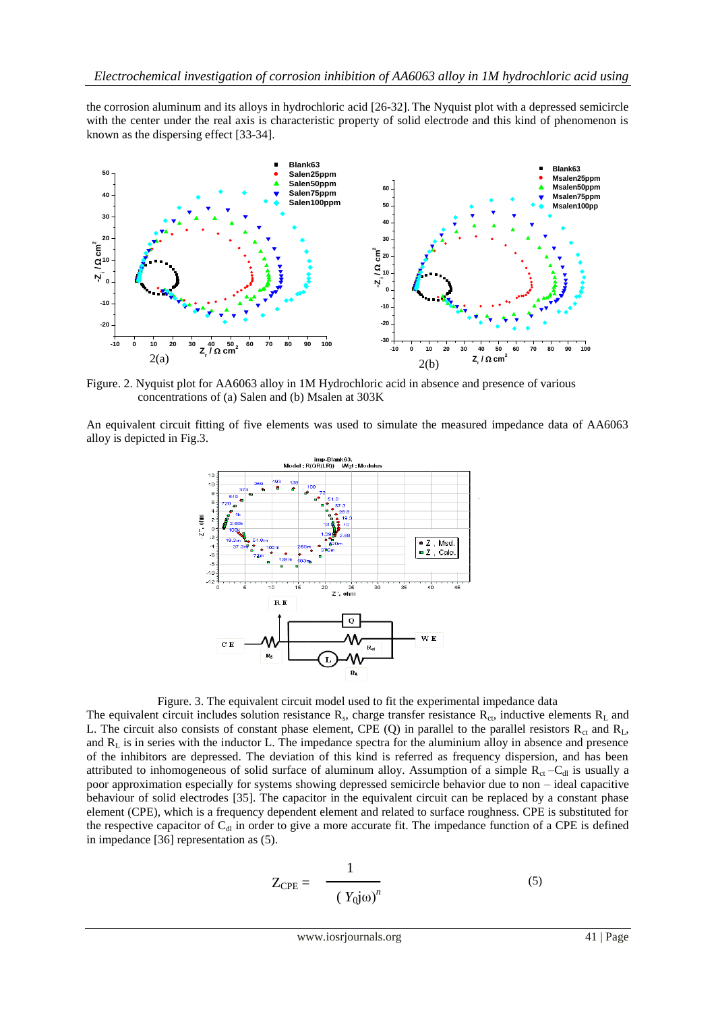the corrosion aluminum and its alloys in hydrochloric acid [26-32]. The Nyquist plot with a depressed semicircle with the center under the real axis is characteristic property of solid electrode and this kind of phenomenon is known as the dispersing effect [33-34].



Figure. 2. Nyquist plot for AA6063 alloy in 1M Hydrochloric acid in absence and presence of various concentrations of (a) Salen and (b) Msalen at 303K

An equivalent circuit fitting of five elements was used to simulate the measured impedance data of AA6063 alloy is depicted in Fig.3.



Figure. 3. The equivalent circuit model used to fit the experimental impedance data

The equivalent circuit includes solution resistance  $R_s$ , charge transfer resistance  $R_{ct}$ , inductive elements  $R_L$  and L. The circuit also consists of constant phase element, CPE (Q) in parallel to the parallel resistors  $R_{ct}$  and  $R_L$ , and  $R<sub>L</sub>$  is in series with the inductor L. The impedance spectra for the aluminium alloy in absence and presence of the inhibitors are depressed. The deviation of this kind is referred as frequency dispersion, and has been attributed to inhomogeneous of solid surface of aluminum alloy. Assumption of a simple  $R_{ct}$  –C<sub>dl</sub> is usually a poor approximation especially for systems showing depressed semicircle behavior due to non – ideal capacitive behaviour of solid electrodes [35]. The capacitor in the equivalent circuit can be replaced by a constant phase element (CPE), which is a frequency dependent element and related to surface roughness. CPE is substituted for the respective capacitor of  $C_{d}$  in order to give a more accurate fit. The impedance function of a CPE is defined in impedance [36] representation as (5).

$$
Z_{\rm CPE} = \frac{1}{(Y_0 j \omega)^n}
$$
 (5)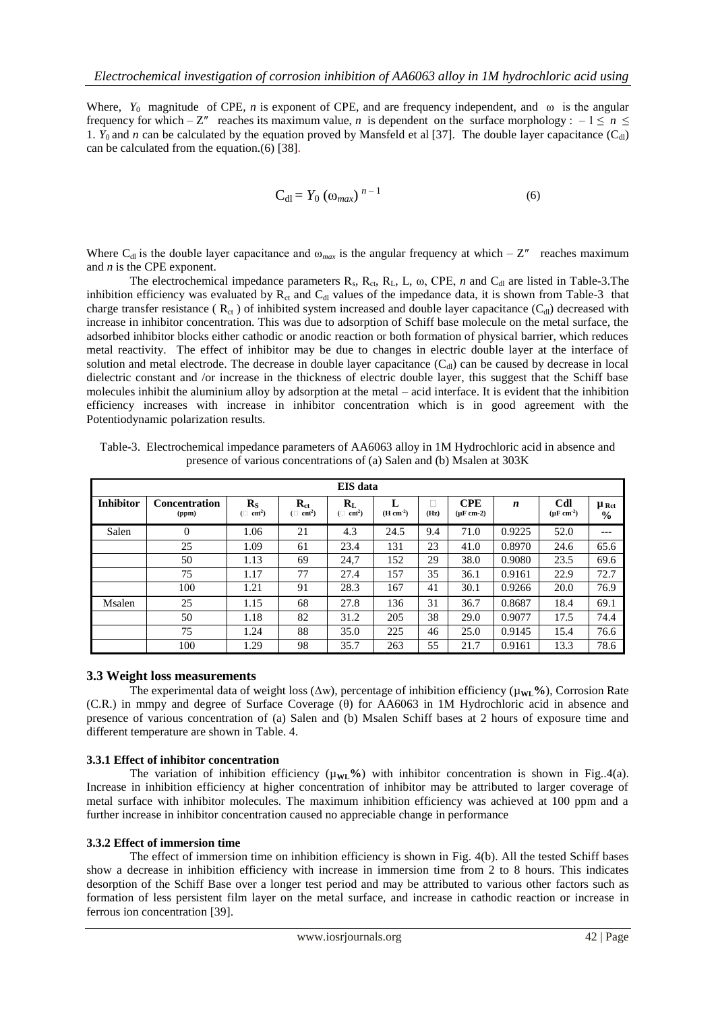Where,  $Y_0$  magnitude of CPE, *n* is exponent of CPE, and are frequency independent, and  $\omega$  is the angular frequency for which – Z" reaches its maximum value, *n* is dependent on the surface morphology : –  $1 \le n \le$ 1.  $Y_0$  and *n* can be calculated by the equation proved by Mansfeld et al [37]. The double layer capacitance (C<sub>dl</sub>) can be calculated from the equation.(6) [38].

$$
C_{dl} = Y_0 \left(\omega_{max}\right)^{n-1} \tag{6}
$$

Where C<sub>dl</sub> is the double layer capacitance and  $\omega_{max}$  is the angular frequency at which – Z'' reaches maximum and *n* is the CPE exponent.

The electrochemical impedance parameters  $R_s$ ,  $R_{ct}$ ,  $R_L$ ,  $L$ ,  $\omega$ , CPE, *n* and  $C_{dl}$  are listed in Table-3. The inhibition efficiency was evaluated by  $R_{ct}$  and  $C_{dl}$  values of the impedance data, it is shown from Table-3 that charge transfer resistance ( $R_{ct}$ ) of inhibited system increased and double layer capacitance ( $C_{d}$ ) decreased with increase in inhibitor concentration. This was due to adsorption of Schiff base molecule on the metal surface, the adsorbed inhibitor blocks either cathodic or anodic reaction or both formation of physical barrier, which reduces metal reactivity. The effect of inhibitor may be due to changes in electric double layer at the interface of solution and metal electrode. The decrease in double layer capacitance  $(C_{\rm d})$  can be caused by decrease in local dielectric constant and /or increase in the thickness of electric double layer, this suggest that the Schiff base molecules inhibit the aluminium alloy by adsorption at the metal – acid interface. It is evident that the inhibition efficiency increases with increase in inhibitor concentration which is in good agreement with the Potentiodynamic polarization results.

|                  | <b>EIS</b> data               |                                      |                                       |                                                        |                 |      |                              |        |                              |                                     |  |
|------------------|-------------------------------|--------------------------------------|---------------------------------------|--------------------------------------------------------|-----------------|------|------------------------------|--------|------------------------------|-------------------------------------|--|
| <b>Inhibitor</b> | <b>Concentration</b><br>(ppm) | $R_{S}$<br>$(\Box$ cm <sup>2</sup> ) | $R_{ct}$<br>$(\Box$ cm <sup>2</sup> ) | $\mathbf{R}_{\mathrm{L}}$<br>$(\Box$ cm <sup>2</sup> ) | L<br>$(H cm-2)$ | (Hz) | <b>CPE</b><br>$(\mu F cm-2)$ | n      | Cdl<br>$(\mu \text{F cm}^2)$ | $\mu_{\text{Ret}}$<br>$\frac{0}{0}$ |  |
| Salen            | $\Omega$                      | 1.06                                 | 21                                    | 4.3                                                    | 24.5            | 9.4  | 71.0                         | 0.9225 | 52.0                         | $---$                               |  |
|                  | 25                            | 1.09                                 | 61                                    | 23.4                                                   | 131             | 23   | 41.0                         | 0.8970 | 24.6                         | 65.6                                |  |
|                  | 50                            | 1.13                                 | 69                                    | 24.7                                                   | 152             | 29   | 38.0                         | 0.9080 | 23.5                         | 69.6                                |  |
|                  | 75                            | 1.17                                 | 77                                    | 27.4                                                   | 157             | 35   | 36.1                         | 0.9161 | 22.9                         | 72.7                                |  |
|                  | 100                           | 1.21                                 | 91                                    | 28.3                                                   | 167             | 41   | 30.1                         | 0.9266 | 20.0                         | 76.9                                |  |
| Msalen           | 25                            | 1.15                                 | 68                                    | 27.8                                                   | 136             | 31   | 36.7                         | 0.8687 | 18.4                         | 69.1                                |  |
|                  | 50                            | 1.18                                 | 82                                    | 31.2                                                   | 205             | 38   | 29.0                         | 0.9077 | 17.5                         | 74.4                                |  |
|                  | 75                            | 1.24                                 | 88                                    | 35.0                                                   | 225             | 46   | 25.0                         | 0.9145 | 15.4                         | 76.6                                |  |
|                  | 100                           | 1.29                                 | 98                                    | 35.7                                                   | 263             | 55   | 21.7                         | 0.9161 | 13.3                         | 78.6                                |  |

Table-3. Electrochemical impedance parameters of AA6063 alloy in 1M Hydrochloric acid in absence and presence of various concentrations of (a) Salen and (b) Msalen at 303K

#### **3.3 Weight loss measurements**

The experimental data of weight loss (∆w), percentage of inhibition efficiency (µ**WL%**), Corrosion Rate (C.R.) in mmpy and degree of Surface Coverage (θ) for AA6063 in 1M Hydrochloric acid in absence and presence of various concentration of (a) Salen and (b) Msalen Schiff bases at 2 hours of exposure time and different temperature are shown in Table. 4.

#### **3.3.1 Effect of inhibitor concentration**

The variation of inhibition efficiency  $(\mu_{WL}\%)$  with inhibitor concentration is shown in Fig..4(a). Increase in inhibition efficiency at higher concentration of inhibitor may be attributed to larger coverage of metal surface with inhibitor molecules. The maximum inhibition efficiency was achieved at 100 ppm and a further increase in inhibitor concentration caused no appreciable change in performance

#### **3.3.2 Effect of immersion time**

The effect of immersion time on inhibition efficiency is shown in Fig. 4(b). All the tested Schiff bases show a decrease in inhibition efficiency with increase in immersion time from 2 to 8 hours. This indicates desorption of the Schiff Base over a longer test period and may be attributed to various other factors such as formation of less persistent film layer on the metal surface, and increase in cathodic reaction or increase in ferrous ion concentration [39].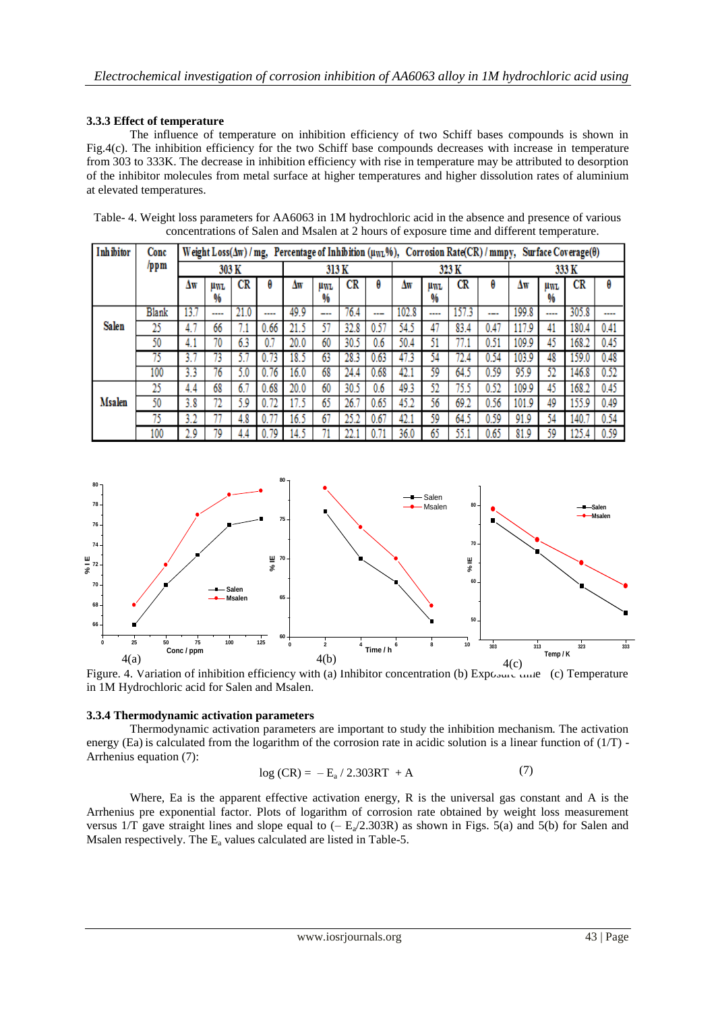# **3.3.3 Effect of temperature**

The influence of temperature on inhibition efficiency of two Schiff bases compounds is shown in Fig.4(c). The inhibition efficiency for the two Schiff base compounds decreases with increase in temperature from 303 to 333K. The decrease in inhibition efficiency with rise in temperature may be attributed to desorption of the inhibitor molecules from metal surface at higher temperatures and higher dissolution rates of aluminium at elevated temperatures.

Table- 4. Weight loss parameters for AA6063 in 1M hydrochloric acid in the absence and presence of various concentrations of Salen and Msalen at 2 hours of exposure time and different temperature.

| <b>Inhibitor</b> | Conc  | Weight Loss( $\Delta w$ ) / mg, Percentage of Inhibition (uwL%), Corrosion Rate(CR) / mmpy,<br>Surface Coverage( $\theta$ ) |               |      |      |       |             |      |       |       |            |       |      |       |      |       |      |
|------------------|-------|-----------------------------------------------------------------------------------------------------------------------------|---------------|------|------|-------|-------------|------|-------|-------|------------|-------|------|-------|------|-------|------|
|                  | /ppm  | 303 K                                                                                                                       |               |      |      | 313 K |             |      | 323 K |       |            | 333 K |      |       |      |       |      |
|                  |       | Δw                                                                                                                          | <b>UWL</b>    | CR   | θ    | Δw    | <b>LIWL</b> | CR   | θ     | Δw    | <b>HWL</b> | CR    | θ    | Δw    | uwl  | CR    | θ    |
|                  |       |                                                                                                                             | %             |      |      |       | %           |      |       |       | %          |       |      |       | %    |       |      |
|                  | Blank | 13.7                                                                                                                        | $\frac{1}{2}$ | 21.0 | ---- | 49.9  | ---         | 76.4 | ---   | 102.8 | ----       | 157.3 | ---  | 199.8 | ---- | 305.8 | ---- |
| Salen            | 25    | 4.7                                                                                                                         | 66            |      | 0.66 | 21.5  | 57          | 32.8 | 0.57  | 54.5  | 47         | 83.4  | 0.47 | 117.9 | 41   | 180.4 | 0.41 |
|                  | 50    | 4.1                                                                                                                         | 70            | 6.3  |      | 20.0  | 60          | 30.5 | 0.6   | 50.4  | 51         |       | 0.51 | 109.9 | 45   | 168.2 | 0.45 |
|                  | 75    | 31                                                                                                                          | В             |      | 0.73 | 18.5  | 63          | 28.3 | 0.63  | 47.3  | 54         | 72.4  | 0.54 | 103.9 | 48   | 159.0 | 0.48 |
|                  | 100   | 3.3                                                                                                                         | 76            | 5.0  | 0.76 | 16.0  | 68          | 24.4 | 0.68  | 42.1  | 59         | 64.5  | 0.59 | 95.9  | 52   | 146.8 | 0.52 |
|                  | 25    | 4.4                                                                                                                         | 68            | 6.7  | 0.68 | 20.0  | 60          | 30.5 | 0.6   | 49.3  | 52         | 75.5  | 0.52 | 109.9 | 45   | 168.2 | 0.45 |
| Msalen           | 50    | 3.8                                                                                                                         | 72            | 5.9  | 0.72 |       | 65          | 26.7 | 0.65  | 45.2  | 56         | 69.2  | 0.56 | 101.9 | 49   | 155.9 | 0.49 |
|                  | 75    | 3.2                                                                                                                         |               | 4.8  | 0.7  | 16.5  | 67          | 25.2 | 0.67  | 42.1  | 59         | 64.5  | 0.59 | 91.9  | 54   | 140.  | 0.54 |
|                  | 100   | 2.9                                                                                                                         | 79            | 4.4  | 0.79 | 14.5  |             |      |       | 36.0  | 65         | 55.1  | 0.65 | 81.9  | 59   | 125   | 0.59 |



Figure. 4. Variation of inhibition efficiency with (a) Inhibitor concentration (b) Exposure time (c) Temperature in 1M Hydrochloric acid for Salen and Msalen.

# **3.3.4 Thermodynamic activation parameters**

Thermodynamic activation parameters are important to study the inhibition mechanism. The activation energy (Ea) is calculated from the logarithm of the corrosion rate in acidic solution is a linear function of  $(1/T)$  -Arrhenius equation (7):

$$
log (CR) = -E_a / 2.303RT + A
$$
 (7)

Where, Ea is the apparent effective activation energy, R is the universal gas constant and A is the Arrhenius pre exponential factor. Plots of logarithm of corrosion rate obtained by weight loss measurement versus 1/T gave straight lines and slope equal to  $(-E_a/2.303R)$  as shown in Figs. 5(a) and 5(b) for Salen and Msalen respectively. The  $E_a$  values calculated are listed in Table-5.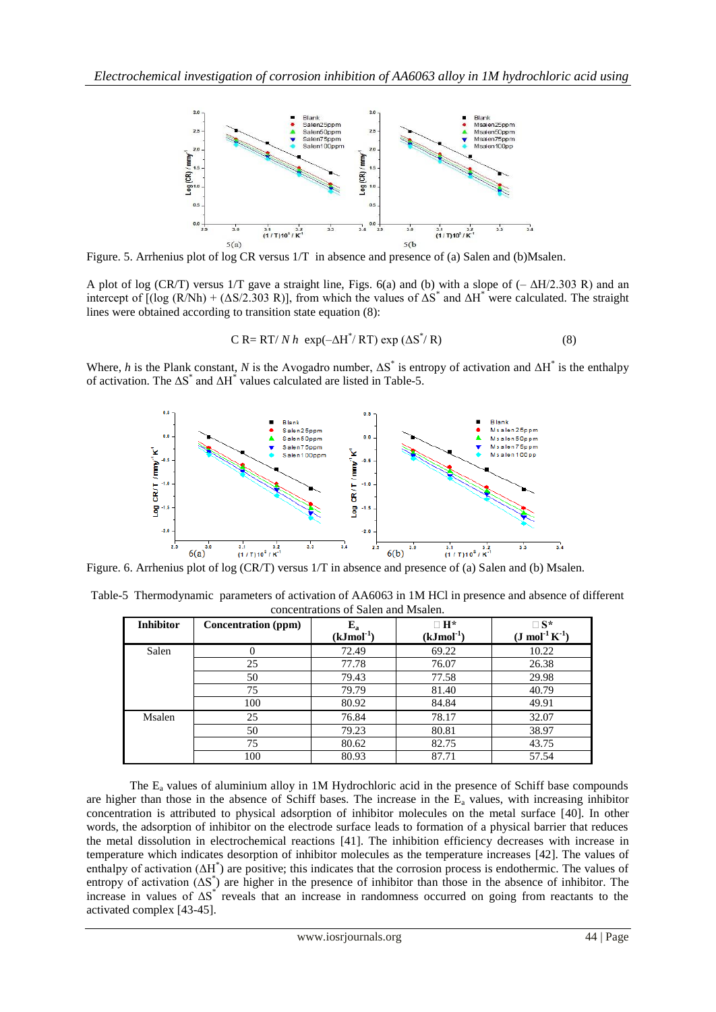

Figure. 5. Arrhenius plot of log CR versus 1/T in absence and presence of (a) Salen and (b)Msalen.

A plot of log (CR/T) versus 1/T gave a straight line, Figs. 6(a) and (b) with a slope of (– ΔH/2.303 R) and an intercept of  $[(\log (R/Nh) + (\Delta S/2.303 R)]$ , from which the values of  $\Delta S^*$  and  $\Delta H^*$  were calculated. The straight lines were obtained according to transition state equation (8):

$$
C R = RT/N h \exp(-\Delta H^* / RT) \exp(\Delta S^* / R)
$$
 (8)

Where, *h* is the Plank constant, *N* is the Avogadro number,  $\Delta S^*$  is entropy of activation and  $\Delta H^*$  is the enthalpy of activation. The  $\Delta S^*$  and  $\Delta H^*$  values calculated are listed in Table-5.



Table-5 Thermodynamic parameters of activation of AA6063 in 1M HCl in presence and absence of different concentrations of Salen and Msalen.

| <b>Inhibitor</b> | <b>Concentration</b> (ppm) | ${\bf E_a}$    | $\Box$ H $^*$ | $\square$ S*                  |
|------------------|----------------------------|----------------|---------------|-------------------------------|
|                  |                            | $(kJmol^{-1})$ | $(kJmol-1)$   | $(J \text{ mol}^{-1} K^{-1})$ |
| Salen            | 0                          | 72.49          | 69.22         | 10.22                         |
|                  | 25                         | 77.78          | 76.07         | 26.38                         |
|                  | 50                         | 79.43          | 77.58         | 29.98                         |
|                  | 75                         | 79.79          | 81.40         | 40.79                         |
|                  | 100                        | 80.92          | 84.84         | 49.91                         |
| Msalen           | 25                         | 76.84          | 78.17         | 32.07                         |
|                  | 50                         | 79.23          | 80.81         | 38.97                         |
|                  | 75                         | 80.62          | 82.75         | 43.75                         |
|                  | 100                        | 80.93          | 87.71         | 57.54                         |

The E<sup>a</sup> values of aluminium alloy in 1M Hydrochloric acid in the presence of Schiff base compounds are higher than those in the absence of Schiff bases. The increase in the  $E_a$  values, with increasing inhibitor concentration is attributed to physical adsorption of inhibitor molecules on the metal surface [40]. In other words, the adsorption of inhibitor on the electrode surface leads to formation of a physical barrier that reduces the metal dissolution in electrochemical reactions [41]. The inhibition efficiency decreases with increase in temperature which indicates desorption of inhibitor molecules as the temperature increases [42]. The values of enthalpy of activation (ΔH<sup>\*</sup>) are positive; this indicates that the corrosion process is endothermic. The values of entropy of activation  $( \Delta S^*)$  are higher in the presence of inhibitor than those in the absence of inhibitor. The increase in values of  $\Delta S^*$  reveals that an increase in randomness occurred on going from reactants to the activated complex [43-45].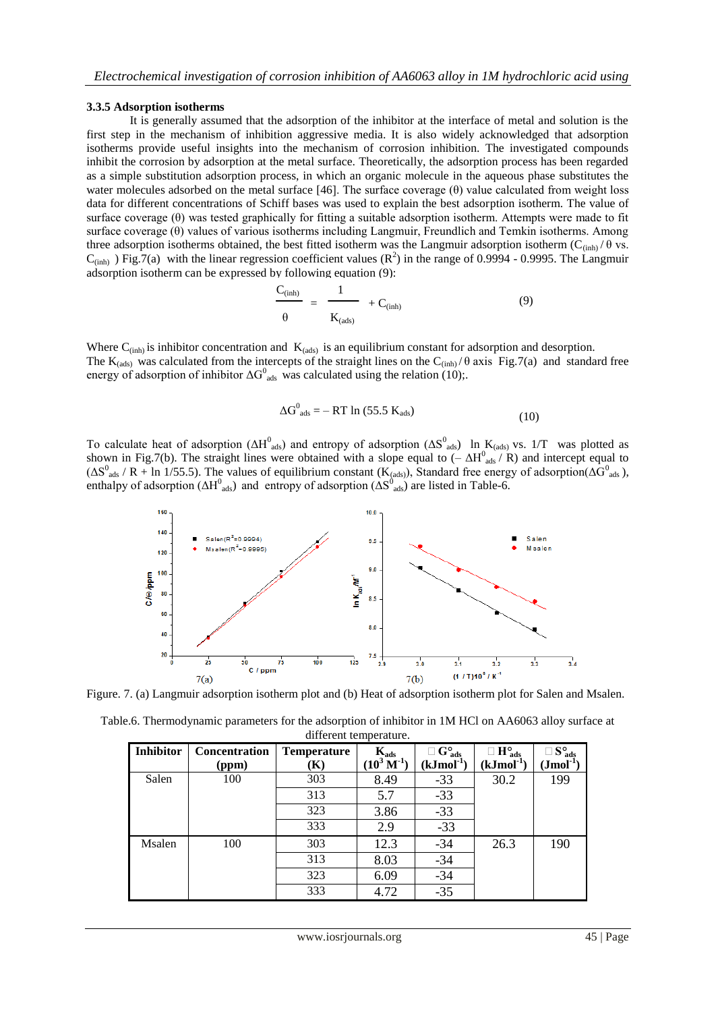#### **3.3.5 Adsorption isotherms**

It is generally assumed that the adsorption of the inhibitor at the interface of metal and solution is the first step in the mechanism of inhibition aggressive media. It is also widely acknowledged that adsorption isotherms provide useful insights into the mechanism of corrosion inhibition. The investigated compounds inhibit the corrosion by adsorption at the metal surface. Theoretically, the adsorption process has been regarded as a simple substitution adsorption process, in which an organic molecule in the aqueous phase substitutes the water molecules adsorbed on the metal surface [46]. The surface coverage (θ) value calculated from weight loss data for different concentrations of Schiff bases was used to explain the best adsorption isotherm. The value of surface coverage (θ) was tested graphically for fitting a suitable adsorption isotherm. Attempts were made to fit surface coverage (θ) values of various isotherms including Langmuir, Freundlich and Temkin isotherms. Among three adsorption isotherms obtained, the best fitted isotherm was the Langmuir adsorption isotherm (C<sub>(inh)</sub> /  $\theta$  vs.  $C_{(inh)}$ ) Fig.7(a) with the linear regression coefficient values ( $\mathbb{R}^2$ ) in the range of 0.9994 - 0.9995. The Langmuir adsorption isotherm can be expressed by following equation (9):

$$
\frac{C_{\text{(inh)}}}{\theta} = \frac{1}{K_{\text{(ads)}}} + C_{\text{(inh)}}
$$
(9)

Where  $C_{(inh)}$  is inhibitor concentration and  $K_{(ads)}$  is an equilibrium constant for adsorption and desorption. The  $K_{(ads)}$  was calculated from the intercepts of the straight lines on the  $C_{(inh)}/\theta$  axis Fig.7(a) and standard free energy of adsorption of inhibitor  $\Delta G_{ads}^0$  was calculated using the relation (10);.

$$
\Delta G^0_{ads} = -RT \ln (55.5 K_{ads}) \tag{10}
$$

To calculate heat of adsorption ( $\Delta H^0_{ads}$ ) and entropy of adsorption ( $\Delta S^0_{ads}$ ) In K<sub>(ads)</sub> vs. 1/T was plotted as shown in Fig.7(b). The straight lines were obtained with a slope equal to  $(-\Delta H_{ads}^0/R)$  and intercept equal to  $(\Delta S^0_{ads} / R + \text{ln } 1/55.5)$ . The values of equilibrium constant  $(K_{(ads)})$ , Standard free energy of adsorption( $\Delta G^0_{ads}$ ), enthalpy of adsorption ( $\Delta H^0_{ads}$ ) and entropy of adsorption ( $\Delta S^0_{ads}$ ) are listed in Table-6.



Figure. 7. (a) Langmuir adsorption isotherm plot and (b) Heat of adsorption isotherm plot for Salen and Msalen.

Table.6. Thermodynamic parameters for the adsorption of inhibitor in 1M HCl on AA6063 alloy surface at different temperature.

| <b>Inhibitor</b> | Concentration<br>(ppm) | <b>Temperature</b><br>(K) | $K_{ads}$<br>$(10^3 \,\mathrm{M}^{-1})$ | $\square$ G <sup>o</sup> <sub>ads</sub><br>$(kJmol^{-1})$ | $\Box$ H <sup>o</sup> <sub>ads</sub><br>$(kJmol-1)$ | $\square$ S <sup>o</sup> <sub>ads</sub><br>$\left(\text{Jmol}^{\text{-1}}\right)$ |
|------------------|------------------------|---------------------------|-----------------------------------------|-----------------------------------------------------------|-----------------------------------------------------|-----------------------------------------------------------------------------------|
| Salen            | 100                    | 303                       | 8.49                                    | $-33$                                                     | 30.2                                                | 199                                                                               |
|                  |                        | 313                       | 5.7                                     | $-33$                                                     |                                                     |                                                                                   |
|                  |                        | 323                       | 3.86                                    | $-33$                                                     |                                                     |                                                                                   |
|                  |                        | 333                       | 2.9                                     | $-33$                                                     |                                                     |                                                                                   |
| Msalen           | 100                    | 303                       | 12.3                                    | $-34$                                                     | 26.3                                                | 190                                                                               |
|                  |                        | 313                       | 8.03                                    | $-34$                                                     |                                                     |                                                                                   |
|                  |                        | 323                       | 6.09                                    | $-34$                                                     |                                                     |                                                                                   |
|                  |                        | 333                       | 4.72                                    | $-35$                                                     |                                                     |                                                                                   |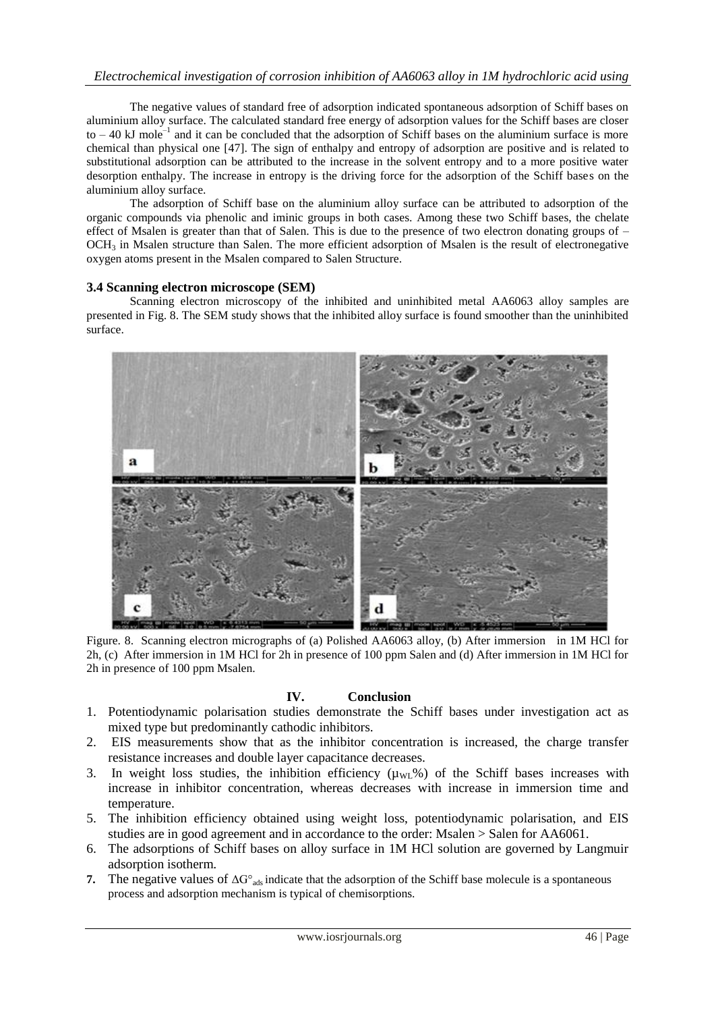# *Electrochemical investigation of corrosion inhibition of AA6063 alloy in 1M hydrochloric acid using*

The negative values of standard free of adsorption indicated spontaneous adsorption of Schiff bases on aluminium alloy surface. The calculated standard free energy of adsorption values for the Schiff bases are closer to  $-40$  kJ mole<sup>-1</sup> and it can be concluded that the adsorption of Schiff bases on the aluminium surface is more chemical than physical one [47]. The sign of enthalpy and entropy of adsorption are positive and is related to substitutional adsorption can be attributed to the increase in the solvent entropy and to a more positive water desorption enthalpy. The increase in entropy is the driving force for the adsorption of the Schiff bases on the aluminium alloy surface.

The adsorption of Schiff base on the aluminium alloy surface can be attributed to adsorption of the organic compounds via phenolic and iminic groups in both cases. Among these two Schiff bases, the chelate effect of Msalen is greater than that of Salen. This is due to the presence of two electron donating groups of –  $OCH<sub>3</sub>$  in Msalen structure than Salen. The more efficient adsorption of Msalen is the result of electronegative oxygen atoms present in the Msalen compared to Salen Structure.

### **3.4 Scanning electron microscope (SEM)**

Scanning electron microscopy of the inhibited and uninhibited metal AA6063 alloy samples are presented in Fig. 8. The SEM study shows that the inhibited alloy surface is found smoother than the uninhibited surface.



Figure. 8. Scanning electron micrographs of (a) Polished AA6063 alloy, (b) After immersion in 1M HCl for 2h, (c) After immersion in 1M HCl for 2h in presence of 100 ppm Salen and (d) After immersion in 1M HCl for 2h in presence of 100 ppm Msalen.

# **IV. Conclusion**

- 1. Potentiodynamic polarisation studies demonstrate the Schiff bases under investigation act as mixed type but predominantly cathodic inhibitors.
- 2. EIS measurements show that as the inhibitor concentration is increased, the charge transfer resistance increases and double layer capacitance decreases.
- 3. In weight loss studies, the inhibition efficiency  $(\mu_{WL}$ %) of the Schiff bases increases with increase in inhibitor concentration, whereas decreases with increase in immersion time and temperature.
- 5. The inhibition efficiency obtained using weight loss, potentiodynamic polarisation, and EIS studies are in good agreement and in accordance to the order: Msalen > Salen for AA6061.
- 6. The adsorptions of Schiff bases on alloy surface in 1M HCl solution are governed by Langmuir adsorption isotherm.
- **7.** The negative values of  $\Delta G^{\circ}$ <sub>ads</sub> indicate that the adsorption of the Schiff base molecule is a spontaneous process and adsorption mechanism is typical of chemisorptions.